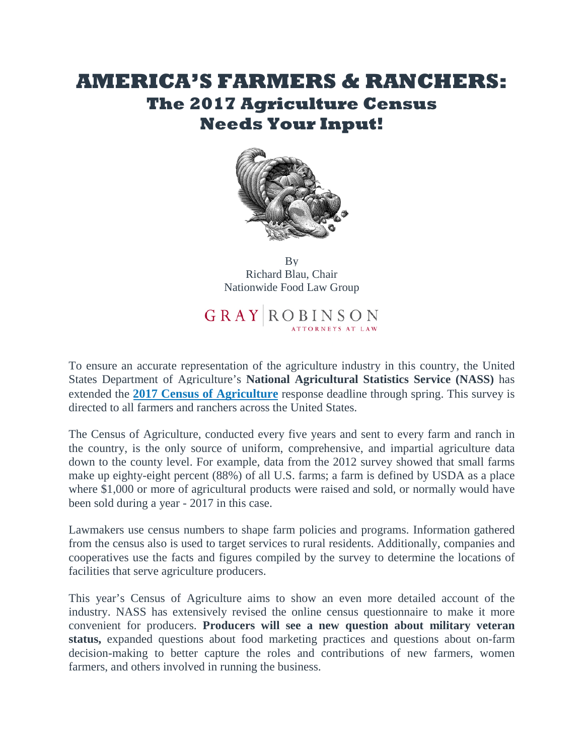## **AMERICA'S FARMERS & RANCHERS: The 2017 Agriculture Census Needs Your Input!**



By [Richard Blau, Chair](http://www.gray-robinson.com/attorneys-professionals/richard-m-blau) Nationwide Food Law Group

GRAY ROBINSON

To ensure an accurate representation of the agriculture industry in this country, the United States Department of Agriculture's **National Agricultural Statistics Service (NASS)** has extended the **[2017 Census of Agriculture](https://www.agcensus.usda.gov/)** response deadline through spring. This survey is directed to all farmers and ranchers across the United States.

The Census of Agriculture, conducted every five years and sent to every farm and ranch in the country, is the only source of uniform, comprehensive, and impartial agriculture data down to the county level. For example, data from the 2012 survey showed that small farms make up eighty-eight percent (88%) of all U.S. farms; a farm is defined by USDA as a place where \$1,000 or more of agricultural products were raised and sold, or normally would have been sold during a year - 2017 in this case.

Lawmakers use census numbers to shape farm policies and programs. Information gathered from the census also is used to target services to rural residents. Additionally, companies and cooperatives use the facts and figures compiled by the survey to determine the locations of facilities that serve agriculture producers.

This year's Census of Agriculture aims to show an even more detailed account of the industry. NASS has extensively revised the online census questionnaire to make it more convenient for producers. **Producers will see a new question about military veteran status,** expanded questions about food marketing practices and questions about on-farm decision-making to better capture the roles and contributions of new farmers, women farmers, and others involved in running the business.